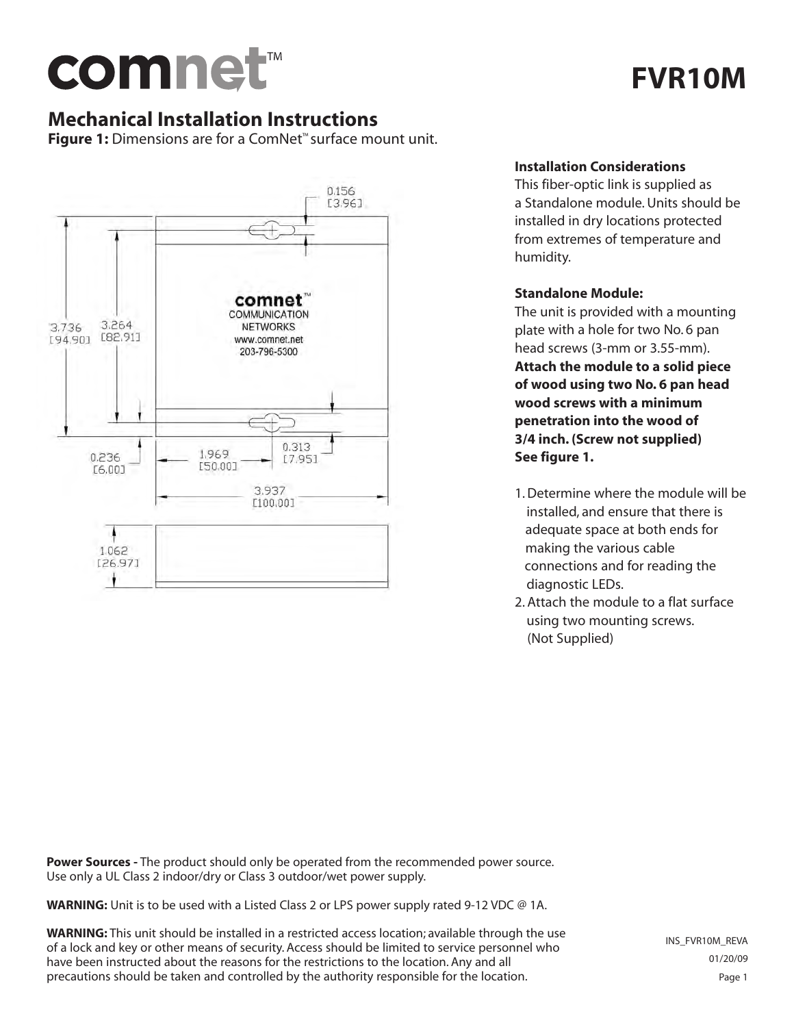

# **FVR10M**

## **Mechanical Installation Instructions**

**Figure 1:** Dimensions are for a ComNet™ surface mount unit.



### **Installation Considerations**

This fiber-optic link is supplied as a Standalone module. Units should be installed in dry locations protected from extremes of temperature and humidity.

#### **Standalone Module:**

The unit is provided with a mounting plate with a hole for two No. 6 pan head screws (3-mm or 3.55-mm). **Attach the module to a solid piece of wood using two No. 6 pan head wood screws with a minimum penetration into the wood of 3/4 inch. (Screw not supplied) See figure 1.**

- 1. Determine where the module will be installed, and ensure that there is adequate space at both ends for making the various cable connections and for reading the diagnostic LEDs.
- 2. Attach the module to a flat surface using two mounting screws. (Not Supplied)

**Power Sources -** The product should only be operated from the recommended power source. Use only a UL Class 2 indoor/dry or Class 3 outdoor/wet power supply.

**WARNING:** Unit is to be used with a Listed Class 2 or LPS power supply rated 9-12 VDC @ 1A.

**WARNING:** This unit should be installed in a restricted access location; available through the use of a lock and key or other means of security. Access should be limited to service personnel who have been instructed about the reasons for the restrictions to the location. Any and all precautions should be taken and controlled by the authority responsible for the location.

INS\_FVR10M\_REVA 01/20/09 Page 1